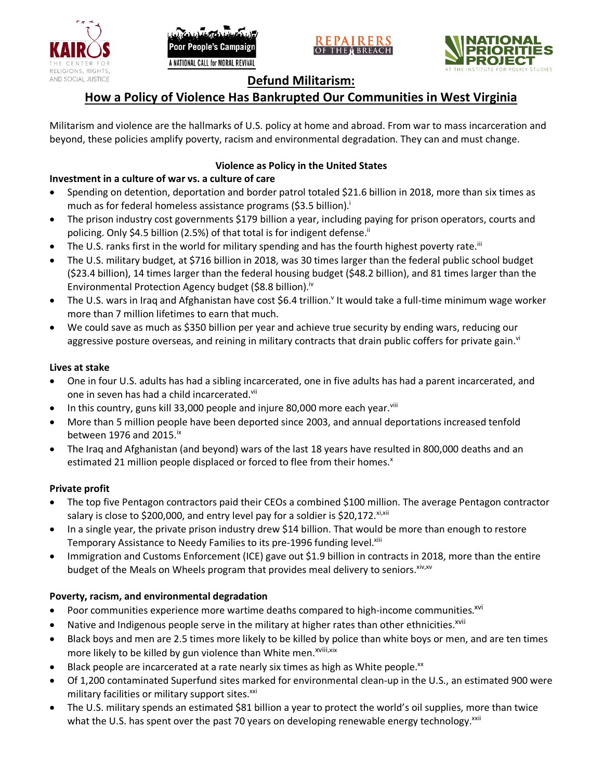





## **Defund Militarism:**

# **How a Policy of Violence Has Bankrupted Our Communities in West Virginia**

Militarism and violence are the hallmarks of U.S. policy at home and abroad. From war to mass incarceration and beyond, these policies amplify poverty, racism and environmental degradation. They can and must change.

### **Violence as Policy in the United States**

### **Investment in a culture of war vs. a culture of care**

- Spending on detention, deportation and border patrol totaled \$21.6 billion in 2018, more than six times as much as for federal homeless assistance programs (\$3.5 billion).<sup>i</sup>
- The prison industry cost governments \$179 billion a year, including paying for prison operators, courts and policing. Only \$4.5 billion (2.5%) of that total is for indigent defense.<sup>ii</sup>
- The U.S. ranks first in the world for military spending and has the fourth highest poverty rate.<sup>iii</sup>
- The U.S. military budget, at \$716 billion in 2018, was 30 times larger than the federal public school budget (\$23.4 billion), 14 times larger than the federal housing budget (\$48.2 billion), and 81 times larger than the Environmental Protection Agency budget (\$8.8 billion).<sup>iv</sup>
- The U.S. wars in Iraq and Afghanistan have cost \$6.4 trillion.<sup>v</sup> It would take a full-time minimum wage worker more than 7 million lifetimes to earn that much.
- We could save as much as \$350 billion per year and achieve true security by ending wars, reducing our aggressive posture overseas, and reining in military contracts that drain public coffers for private gain.<sup>vi</sup>

#### **Lives at stake**

- One in four U.S. adults has had a sibling incarcerated, one in five adults has had a parent incarcerated, and one in seven has had a child incarcerated.vii
- In this country, guns kill 33,000 people and injure 80,000 more each year. $v_{\text{lin}}$
- More than 5 million people have been deported since 2003, and annual deportations increased tenfold between 1976 and 2015. $\mathrm{i}$ <sup>x</sup>
- The Iraq and Afghanistan (and beyond) wars of the last 18 years have resulted in 800,000 deaths and an estimated 21 million people displaced or forced to flee from their homes.<sup>x</sup>

#### **Private profit**

- The top five Pentagon contractors paid their CEOs a combined \$100 million. The average Pentagon contractor salary is close to \$200,000, and entry level pay for a soldier is \$20,172. xi,xii
- In a single year, the private prison industry drew \$14 billion. That would be more than enough to restore Temporary Assistance to Needy Families to its pre-1996 funding level.<sup>xiii</sup>
- Immigration and Customs Enforcement (ICE) gave out \$1.9 billion in contracts in 2018, more than the entire budget of the Meals on Wheels program that provides meal delivery to seniors. Xiv, XV

#### **Poverty, racism, and environmental degradation**

- Poor communities experience more wartime deaths compared to high-income communities.<sup>xvi</sup>
- Native and Indigenous people serve in the military at higher rates than other ethnicities.<sup>xvii</sup>
- Black boys and men are 2.5 times more likely to be killed by police than white boys or men, and are ten times more likely to be killed by gun violence than White men.<sup>xviii,xix</sup>
- Black people are incarcerated at a rate nearly six times as high as White people.<sup>xx</sup>
- Of 1,200 contaminated Superfund sites marked for environmental clean-up in the U.S., an estimated 900 were military facilities or military support sites.<sup>xxi</sup>
- The U.S. military spends an estimated \$81 billion a year to protect the world's oil supplies, more than twice what the U.S. has spent over the past 70 years on developing renewable energy technology.<sup>xxii</sup>